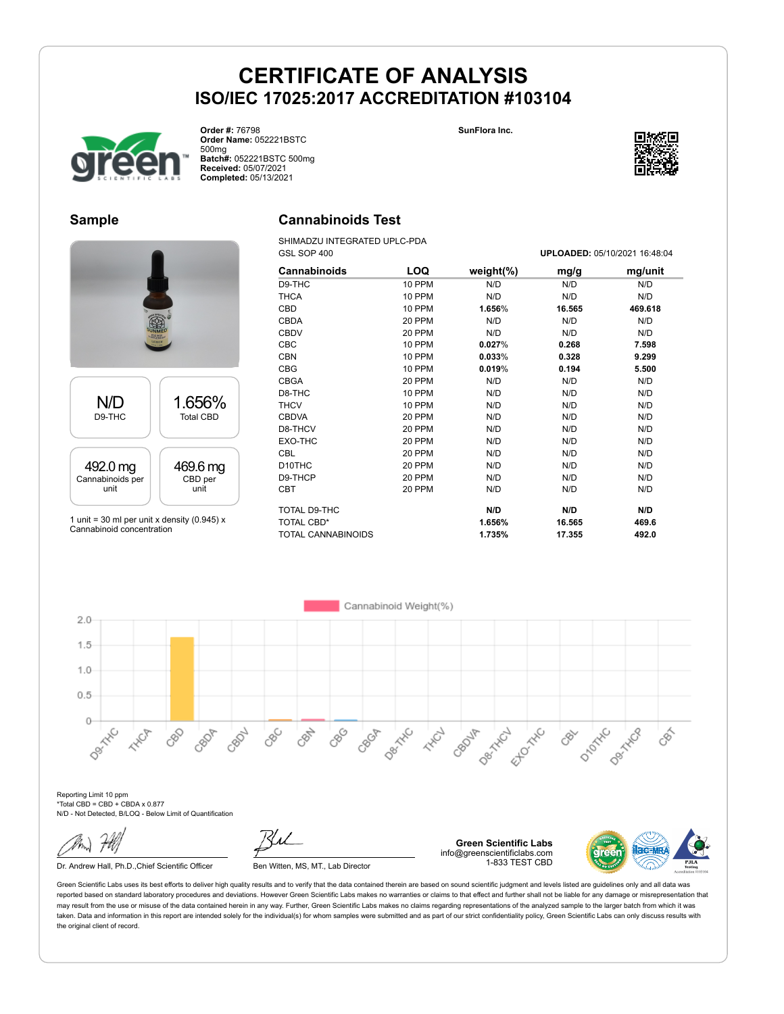

**Order #:** 76798 **Order Name:** 052221BSTC 500mg **Batch#:** 052221BSTC 500mg **Received:** 05/07/2021 **Completed:** 05/13/2021

#### **SunFlora Inc.**



### **Sample**

# N/D D9-THC 1.656% Total CBD 492.0 mg Cannabinoids per unit 469.6 mg CBD per unit 1 unit = 30 ml per unit x density (0.945)  $x$ Cannabinoid concentration

### **Cannabinoids Test**

SHIMADZU INTEGRATED UPLC-PDA GSL SOP 400 **UPLOADED:** 05/10/2021 16:48:04

| Cannabinoids              | LOQ           | weight $(\%)$ | mg/g   | mg/unit |
|---------------------------|---------------|---------------|--------|---------|
| D9-THC                    | 10 PPM        | N/D           | N/D    | N/D     |
| <b>THCA</b>               | 10 PPM        | N/D           | N/D    | N/D     |
| CBD                       | 10 PPM        | 1.656%        | 16.565 | 469.618 |
| <b>CBDA</b>               | 20 PPM        | N/D           | N/D    | N/D     |
| <b>CBDV</b>               | 20 PPM        | N/D           | N/D    | N/D     |
| CBC                       | 10 PPM        | 0.027%        | 0.268  | 7.598   |
| <b>CBN</b>                | 10 PPM        | 0.033%        | 0.328  | 9.299   |
| <b>CBG</b>                | <b>10 PPM</b> | 0.019%        | 0.194  | 5.500   |
| <b>CBGA</b>               | <b>20 PPM</b> | N/D           | N/D    | N/D     |
| D8-THC                    | 10 PPM        | N/D           | N/D    | N/D     |
| <b>THCV</b>               | 10 PPM        | N/D           | N/D    | N/D     |
| <b>CBDVA</b>              | 20 PPM        | N/D           | N/D    | N/D     |
| D8-THCV                   | 20 PPM        | N/D           | N/D    | N/D     |
| EXO-THC                   | 20 PPM        | N/D           | N/D    | N/D     |
| <b>CBL</b>                | 20 PPM        | N/D           | N/D    | N/D     |
| D <sub>10</sub> THC       | 20 PPM        | N/D           | N/D    | N/D     |
| D9-THCP                   | 20 PPM        | N/D           | N/D    | N/D     |
| <b>CBT</b>                | 20 PPM        | N/D           | N/D    | N/D     |
| TOTAL D9-THC              |               | N/D           | N/D    | N/D     |
| <b>TOTAL CBD*</b>         |               | 1.656%        | 16.565 | 469.6   |
| <b>TOTAL CANNABINOIDS</b> |               | 1.735%        | 17.355 | 492.0   |

Cannabinoid Weight(%)  $2.0$  $1.5$  $1.0$  $0.5$  $\circ$ Desired Desitive **Desiminal** CBC CBN 880 Ellowski DIDOXNO CBOA CBOJA **HAVE** 88 CBON **HARCH** CBY CBS ceor peription

Reporting Limit 10 ppm \*Total CBD = CBD + CBDA x 0.877 N/D - Not Detected, B/LOQ - Below Limit of Quantification

Dr. Andrew Hall, Ph.D., Chief Scientific Officer Ben Witten, MS, MT., Lab Director

**Green Scientific Labs** info@greenscientificlabs.com 1-833 TEST CBD

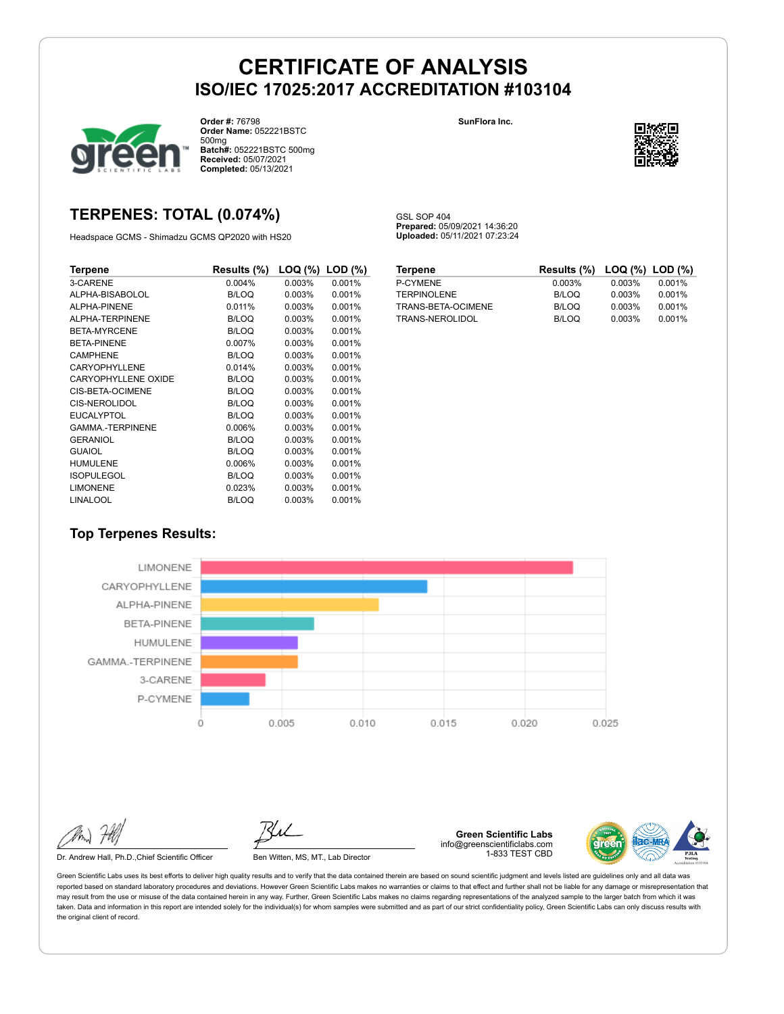GSL SOP 404

**Prepared:** 05/09/2021 14:36:20 **Uploaded:** 05/11/2021 07:23:24



**Order #:** 76798 **Order Name:** 052221BSTC 500mg **Batch#:** 052221BSTC 500mg **Received:** 05/07/2021 **Completed:** 05/13/2021

#### **SunFlora Inc.**



## **TERPENES: TOTAL (0.074%)**

Headspace GCMS - Shimadzu GCMS QP2020 with HS20

| Terpene                    | Results (%)  | $\textsf{LOQ}$ (%) $\textsf{LOD}$ (%) |        |
|----------------------------|--------------|---------------------------------------|--------|
| 3-CARENE                   | 0.004%       | 0.003%                                | 0.001% |
| ALPHA-BISABOLOL            | <b>B/LOQ</b> | 0.003%                                | 0.001% |
| ALPHA-PINENE               | 0.011%       | 0.003%                                | 0.001% |
| ALPHA-TERPINENE            | <b>B/LOQ</b> | 0.003%                                | 0.001% |
| <b>BETA-MYRCENE</b>        | <b>B/LOQ</b> | 0.003%                                | 0.001% |
| <b>BETA-PINENE</b>         | 0.007%       | 0.003%                                | 0.001% |
| <b>CAMPHENE</b>            | <b>B/LOQ</b> | 0.003%                                | 0.001% |
| CARYOPHYLLENE              | 0.014%       | 0.003%                                | 0.001% |
| <b>CARYOPHYLLENE OXIDE</b> | <b>B/LOQ</b> | 0.003%                                | 0.001% |
| CIS-BETA-OCIMENE           | <b>B/LOQ</b> | 0.003%                                | 0.001% |
| <b>CIS-NEROLIDOL</b>       | <b>B/LOQ</b> | 0.003%                                | 0.001% |
| <b>EUCALYPTOL</b>          | <b>B/LOQ</b> | 0.003%                                | 0.001% |
| <b>GAMMA-TERPINENE</b>     | 0.006%       | 0.003%                                | 0.001% |
| <b>GERANIOL</b>            | <b>B/LOQ</b> | 0.003%                                | 0.001% |
| <b>GUAIOL</b>              | <b>B/LOQ</b> | 0.003%                                | 0.001% |
| <b>HUMULENE</b>            | 0.006%       | 0.003%                                | 0.001% |
| <b>ISOPULEGOL</b>          | <b>B/LOQ</b> | 0.003%                                | 0.001% |
| <b>LIMONENE</b>            | 0.023%       | 0.003%                                | 0.001% |
| <b>LINALOOL</b>            | <b>B/LOQ</b> | 0.003%                                | 0.001% |

| <b>Terpene</b>     | Results (%) LOQ (%) LOD (%) |        |        |
|--------------------|-----------------------------|--------|--------|
| P-CYMENE           | 0.003%                      | 0.003% | 0.001% |
| <b>TERPINOLENE</b> | B/LOQ                       | 0.003% | 0.001% |
| TRANS-BETA-OCIMENE | B/LOQ                       | 0.003% | 0.001% |
| TRANS-NEROLIDOL    | B/LOQ                       | 0.003% | 0.001% |

### **Top Terpenes Results:**



Dr. Andrew Hall, Ph.D., Chief Scientific Officer Ben Witten, MS, MT., Lab Director

**Green Scientific Labs** info@greenscientificlabs.com 1-833 TEST CBD

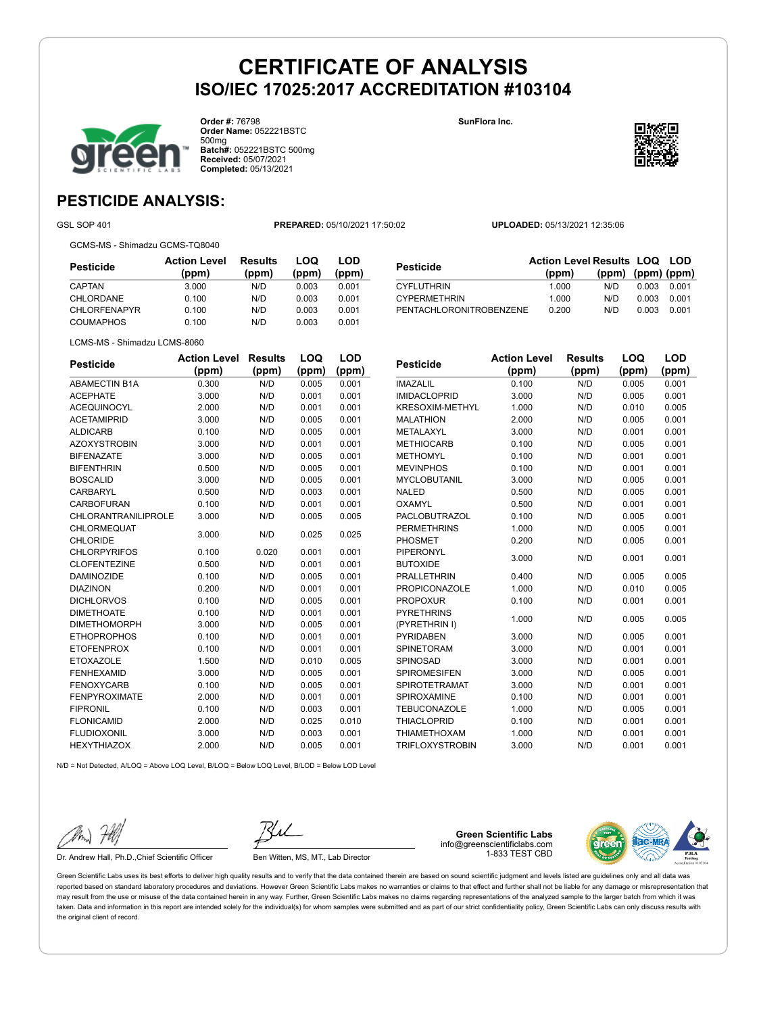

**Order #:** 76798 **Order Name:** 052221BSTC 500mg **Batch#:** 052221BSTC 500mg **Received:** 05/07/2021 **Completed:** 05/13/2021

**SunFlora Inc.**

**Pesticide Action Level**



## **PESTICIDE ANALYSIS:**

GSL SOP 401 **PREPARED:** 05/10/2021 17:50:02 **UPLOADED:** 05/13/2021 12:35:06

GCMS-MS - Shimadzu GCMS-TQ8040

**Pesticide Action Level (ppm) Results (ppm) LOQ (ppm) LOD (ppm)** CAPTAN 3.000 N/D 0.003 0.001 CHLORDANE 0.100 N/D 0.003 0.001 CHLORFENAPYR 0.100 N/D 0.003 0.001 COUMAPHOS 0.100 N/D 0.003 0.001

| <b>Pesticide</b>        | <b>Action Level Results LOQ LOD</b> |                         |       |       |
|-------------------------|-------------------------------------|-------------------------|-------|-------|
|                         | (ppm)                               | $(ppm)$ $(ppm)$ $(ppm)$ |       |       |
| <b>CYFLUTHRIN</b>       | 1.000                               | N/D.                    | 0.003 | 0.001 |
| <b>CYPERMETHRIN</b>     | 1.000                               | N/D                     | 0.003 | 0.001 |
| PENTACHLORONITROBENZENE | 0.200                               | N/D                     | 0.003 | 0.001 |

**Results**

**LOQ (ppm)**

**LOD (ppm)**

|  | LCMS-MS - Shimadzu LCMS-8060 |
|--|------------------------------|
|  |                              |

| <b>Pesticide</b>           | <b>Action Level</b> | <b>Results</b> | LOQ   | <b>LOD</b> |
|----------------------------|---------------------|----------------|-------|------------|
|                            | (ppm)               | (ppm)          | (ppm) | (ppm)      |
| <b>ABAMECTIN B1A</b>       | 0.300               | N/D            | 0.005 | 0.001      |
| <b>ACEPHATE</b>            | 3.000               | N/D            | 0.001 | 0.001      |
| <b>ACEQUINOCYL</b>         | 2.000               | N/D            | 0.001 | 0.001      |
| <b>ACETAMIPRID</b>         | 3.000               | N/D            | 0.005 | 0.001      |
| <b>ALDICARB</b>            | 0.100               | N/D            | 0.005 | 0.001      |
| <b>AZOXYSTROBIN</b>        | 3.000               | N/D            | 0.001 | 0.001      |
| <b>BIFENAZATE</b>          | 3.000               | N/D            | 0.005 | 0.001      |
| <b>BIFENTHRIN</b>          | 0.500               | N/D            | 0.005 | 0.001      |
| <b>BOSCALID</b>            | 3.000               | N/D            | 0.005 | 0.001      |
| CARBARYL                   | 0.500               | N/D            | 0.003 | 0.001      |
| <b>CARBOFURAN</b>          | 0.100               | N/D            | 0.001 | 0.001      |
| <b>CHLORANTRANILIPROLE</b> | 3.000               | N/D            | 0.005 | 0.005      |
| CHLORMEQUAT                | 3.000               | N/D            | 0.025 | 0.025      |
| <b>CHLORIDE</b>            |                     |                |       |            |
| <b>CHLORPYRIFOS</b>        | 0.100               | 0.020          | 0.001 | 0.001      |
| <b>CLOFENTEZINE</b>        | 0.500               | N/D            | 0.001 | 0.001      |
| <b>DAMINOZIDE</b>          | 0.100               | N/D            | 0.005 | 0.001      |
| <b>DIAZINON</b>            | 0.200               | N/D            | 0.001 | 0.001      |
| <b>DICHLORVOS</b>          | 0.100               | N/D            | 0.005 | 0.001      |
| <b>DIMETHOATE</b>          | 0.100               | N/D            | 0.001 | 0.001      |
| <b>DIMETHOMORPH</b>        | 3.000               | N/D            | 0.005 | 0.001      |
| <b>ETHOPROPHOS</b>         | 0.100               | N/D            | 0.001 | 0.001      |
| <b>ETOFENPROX</b>          | 0.100               | N/D            | 0.001 | 0.001      |
| <b>ETOXAZOLE</b>           | 1.500               | N/D            | 0.010 | 0.005      |
| <b>FENHEXAMID</b>          | 3.000               | N/D            | 0.005 | 0.001      |
| <b>FENOXYCARB</b>          | 0.100               | N/D            | 0.005 | 0.001      |
| <b>FENPYROXIMATE</b>       | 2.000               | N/D            | 0.001 | 0.001      |
| <b>FIPRONIL</b>            | 0.100               | N/D            | 0.003 | 0.001      |
| <b>FLONICAMID</b>          | 2.000               | N/D            | 0.025 | 0.010      |
| <b>FLUDIOXONIL</b>         | 3.000               | N/D            | 0.003 | 0.001      |
| <b>HEXYTHIAZOX</b>         | 2.000               | N/D            | 0.005 | 0.001      |

| Pesticiae              | (ppm) | (ppm) | (ppm) | (ppm) |
|------------------------|-------|-------|-------|-------|
| <b>IMAZALIL</b>        | 0.100 | N/D   | 0.005 | 0.001 |
| <b>IMIDACLOPRID</b>    | 3.000 | N/D   | 0.005 | 0.001 |
| <b>KRESOXIM-METHYL</b> | 1.000 | N/D   | 0.010 | 0.005 |
| <b>MALATHION</b>       | 2.000 | N/D   | 0.005 | 0.001 |
| METALAXYL              | 3.000 | N/D   | 0.001 | 0.001 |
| <b>METHIOCARB</b>      | 0.100 | N/D   | 0.005 | 0.001 |
| <b>METHOMYL</b>        | 0.100 | N/D   | 0.001 | 0.001 |
| <b>MEVINPHOS</b>       | 0.100 | N/D   | 0.001 | 0.001 |
| <b>MYCLOBUTANIL</b>    | 3.000 | N/D   | 0.005 | 0.001 |
| <b>NALED</b>           | 0.500 | N/D   | 0.005 | 0.001 |
| OXAMYL                 | 0.500 | N/D   | 0.001 | 0.001 |
| PACLOBUTRAZOL          | 0.100 | N/D   | 0.005 | 0.001 |
| <b>PERMETHRINS</b>     | 1.000 | N/D   | 0.005 | 0.001 |
| <b>PHOSMET</b>         | 0.200 | N/D   | 0.005 | 0.001 |
| PIPERONYL              | 3.000 | N/D   | 0.001 | 0.001 |
| <b>BUTOXIDE</b>        |       |       |       |       |
| <b>PRALLETHRIN</b>     | 0.400 | N/D   | 0.005 | 0.005 |
| <b>PROPICONAZOLE</b>   | 1.000 | N/D   | 0.010 | 0.005 |
| <b>PROPOXUR</b>        | 0.100 | N/D   | 0.001 | 0.001 |
| <b>PYRETHRINS</b>      | 1.000 | N/D   | 0.005 | 0.005 |
| (PYRETHRIN I)          |       |       |       |       |
| <b>PYRIDABEN</b>       | 3.000 | N/D   | 0.005 | 0.001 |
| <b>SPINETORAM</b>      | 3.000 | N/D   | 0.001 | 0.001 |
| SPINOSAD               | 3.000 | N/D   | 0.001 | 0.001 |
| <b>SPIROMESIFEN</b>    | 3.000 | N/D   | 0.005 | 0.001 |
| <b>SPIROTETRAMAT</b>   | 3.000 | N/D   | 0.001 | 0.001 |
| <b>SPIROXAMINE</b>     | 0.100 | N/D   | 0.001 | 0.001 |
| <b>TEBUCONAZOLE</b>    | 1.000 | N/D   | 0.005 | 0.001 |
| <b>THIACLOPRID</b>     | 0.100 | N/D   | 0.001 | 0.001 |

THIAMETHOXAM 1.000 N/D 0.001 0.001 TRIFLOXYSTROBIN 3.000 N/D 0.001 0.001

N/D = Not Detected, A/LOQ = Above LOQ Level, B/LOQ = Below LOQ Level, B/LOD = Below LOD Level

Dr. Andrew Hall, Ph.D., Chief Scientific Officer Ben Witten, MS, MT., Lab Director

**Green Scientific Labs** info@greenscientificlabs.com 1-833 TEST CBD

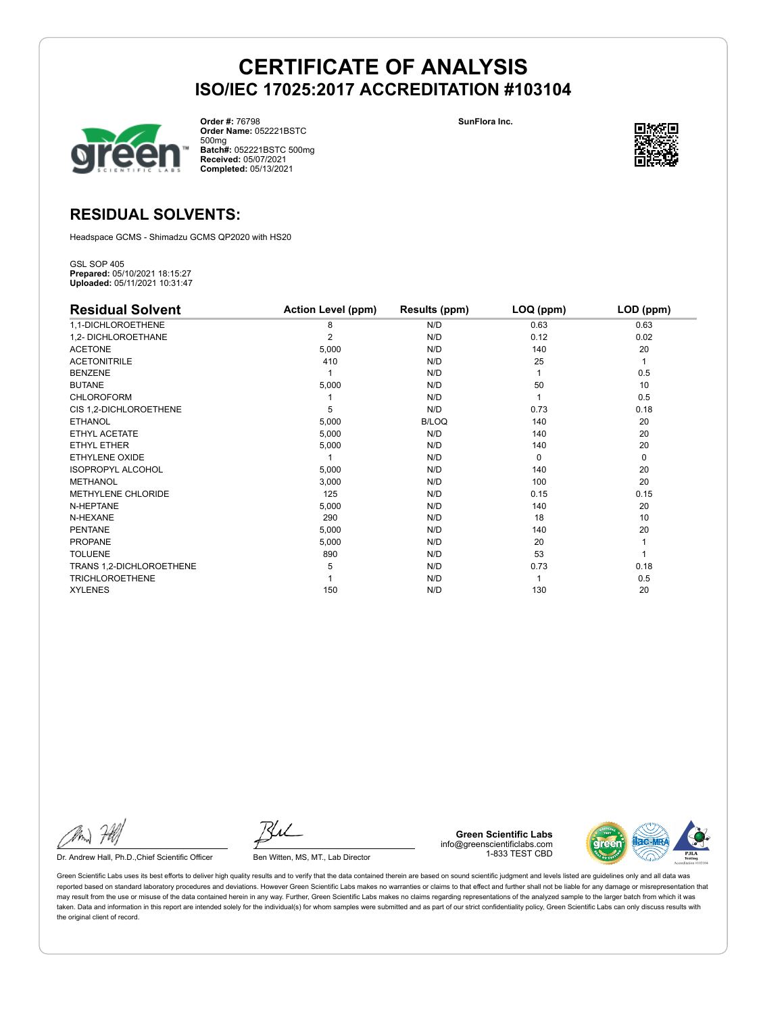

**Order #:** 76798 **Order Name:** 052221BSTC 500mg **Batch#:** 052221BSTC 500mg **Received:** 05/07/2021 **Completed:** 05/13/2021

**SunFlora Inc.**



## **RESIDUAL SOLVENTS:**

Headspace GCMS - Shimadzu GCMS QP2020 with HS20

GSL SOP 405 **Prepared:** 05/10/2021 18:15:27 **Uploaded:** 05/11/2021 10:31:47

| <b>Residual Solvent</b>  | <b>Action Level (ppm)</b> | Results (ppm) | LOQ (ppm) | LOD (ppm) |
|--------------------------|---------------------------|---------------|-----------|-----------|
| 1,1-DICHLOROETHENE       | 8                         | N/D           | 0.63      | 0.63      |
| 1,2- DICHLOROETHANE      | 2                         | N/D           | 0.12      | 0.02      |
| <b>ACETONE</b>           | 5,000                     | N/D           | 140       | 20        |
| <b>ACETONITRILE</b>      | 410                       | N/D           | 25        | 1         |
| <b>BENZENE</b>           |                           | N/D           |           | 0.5       |
| <b>BUTANE</b>            | 5,000                     | N/D           | 50        | 10        |
| <b>CHLOROFORM</b>        |                           | N/D           |           | 0.5       |
| CIS 1,2-DICHLOROETHENE   | 5                         | N/D           | 0.73      | 0.18      |
| <b>ETHANOL</b>           | 5,000                     | <b>B/LOQ</b>  | 140       | 20        |
| ETHYL ACETATE            | 5,000                     | N/D           | 140       | 20        |
| <b>ETHYL ETHER</b>       | 5,000                     | N/D           | 140       | 20        |
| ETHYLENE OXIDE           |                           | N/D           | $\Omega$  | 0         |
| <b>ISOPROPYL ALCOHOL</b> | 5,000                     | N/D           | 140       | 20        |
| <b>METHANOL</b>          | 3,000                     | N/D           | 100       | 20        |
| METHYLENE CHLORIDE       | 125                       | N/D           | 0.15      | 0.15      |
| N-HEPTANE                | 5,000                     | N/D           | 140       | 20        |
| N-HEXANE                 | 290                       | N/D           | 18        | 10        |
| <b>PENTANE</b>           | 5,000                     | N/D           | 140       | 20        |
| <b>PROPANE</b>           | 5,000                     | N/D           | 20        |           |
| <b>TOLUENE</b>           | 890                       | N/D           | 53        |           |
| TRANS 1,2-DICHLOROETHENE | 5                         | N/D           | 0.73      | 0.18      |
| <b>TRICHLOROETHENE</b>   |                           | N/D           |           | 0.5       |
| <b>XYLENES</b>           | 150                       | N/D           | 130       | 20        |

Dr. Andrew Hall, Ph.D., Chief Scientific Officer Ben Witten, MS, MT., Lab Director

**Green Scientific Labs** info@greenscientificlabs.com 1-833 TEST CBD

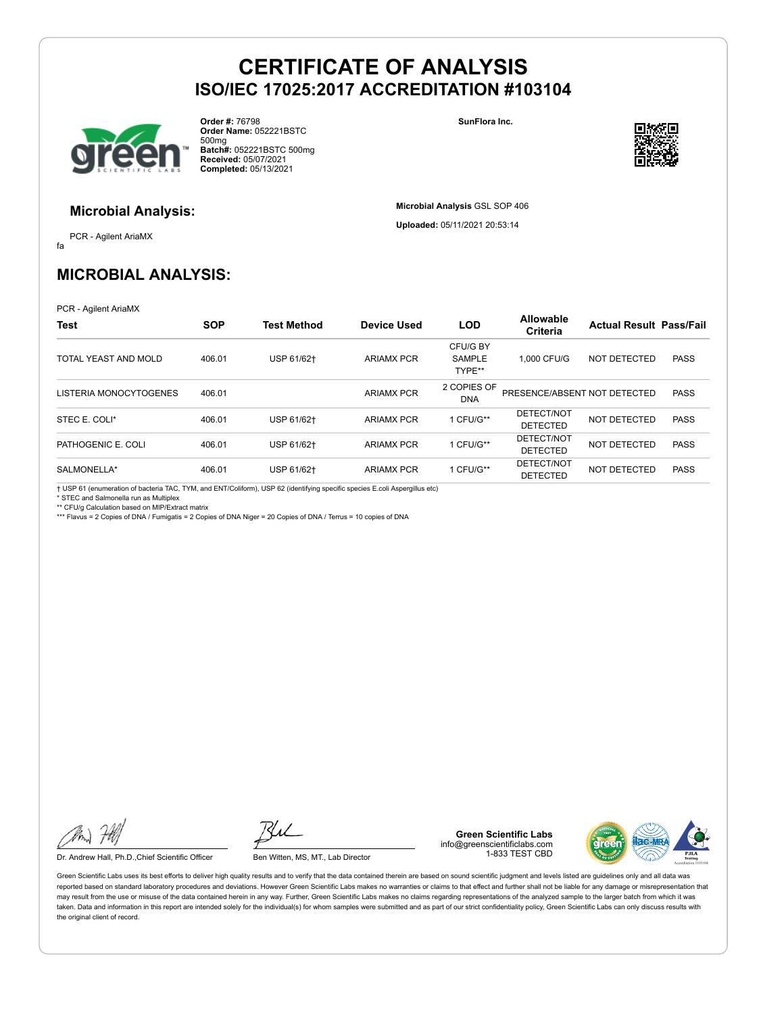

**Order #:** 76798 **Order Name:** 052221BSTC 500mg **Batch#:** 052221BSTC 500mg **Received:** 05/07/2021 **Completed:** 05/13/2021

**SunFlora Inc.**

**Microbial Analysis** GSL SOP 406 **Uploaded:** 05/11/2021 20:53:14



### **Microbial Analysis:**

fa PCR - Agilent AriaMX

## **MICROBIAL ANALYSIS:**

PCR - Agilent AriaMX

| <b>Test</b>            | <b>SOP</b> | <b>Test Method</b> | <b>Device Used</b> | <b>LOD</b>                          | Allowable<br><b>Criteria</b>  | <b>Actual Result Pass/Fail</b> |             |
|------------------------|------------|--------------------|--------------------|-------------------------------------|-------------------------------|--------------------------------|-------------|
| TOTAL YEAST AND MOLD   | 406.01     | USP 61/62+         | <b>ARIAMX PCR</b>  | CFU/G BY<br><b>SAMPLE</b><br>TYPE** | 1.000 CFU/G                   | NOT DETECTED                   | <b>PASS</b> |
| LISTERIA MONOCYTOGENES | 406.01     |                    | <b>ARIAMX PCR</b>  | 2 COPIES OF<br><b>DNA</b>           | PRESENCE/ABSENT NOT DETECTED  |                                | <b>PASS</b> |
| STEC E. COLI*          | 406.01     | USP 61/62+         | <b>ARIAMX PCR</b>  | 1 CFU/G**                           | DETECT/NOT<br><b>DETECTED</b> | NOT DETECTED                   | <b>PASS</b> |
| PATHOGENIC E. COLI     | 406.01     | USP 61/62+         | <b>ARIAMX PCR</b>  | 1 CFU/G**                           | DETECT/NOT<br><b>DETECTED</b> | NOT DETECTED                   | <b>PASS</b> |
| SALMONELLA*            | 406.01     | USP 61/62+         | <b>ARIAMX PCR</b>  | 1 CFU/G**                           | DETECT/NOT<br><b>DETECTED</b> | <b>NOT DETECTED</b>            | <b>PASS</b> |

† USP 61 (enumeration of bacteria TAC, TYM, and ENT/Coliform), USP 62 (identifying specific species E.coli Aspergillus etc) \* STEC and Salmonella run as Multiplex

\*\* CFU/g Calculation based on MIP/Extract matrix

\*\*\* Flavus = 2 Copies of DNA / Fumigatis = 2 Copies of DNA Niger = 20 Copies of DNA / Terrus = 10 copies of DNA

Dr. Andrew Hall, Ph.D., Chief Scientific Officer Ben Witten, MS, MT., Lab Director

**Green Scientific Labs** info@greenscientificlabs.com 1-833 TEST CBD